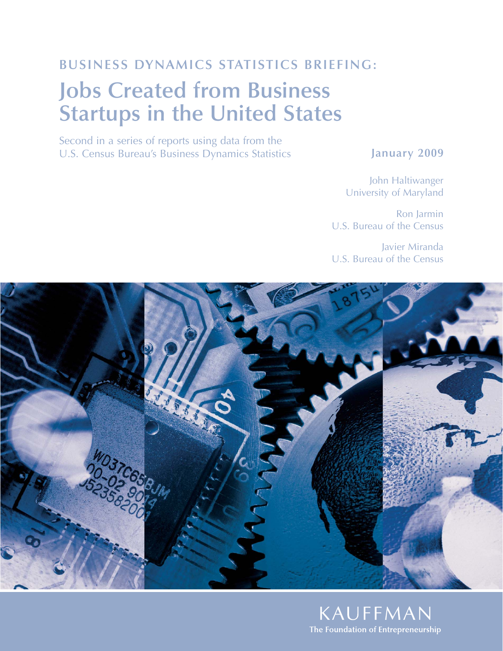## **BUSINESS DYNAMICS STATISTICS BRIEFING:**

# **Jobs Created from Business Startups in the United States**

Second in a series of reports using data from the U.S. Census Bureau's Business Dynamics Statistics

### **January 2009**

John Haltiwanger University of Maryland

Ron Jarmin U.S. Bureau of the Census

Javier Miranda U.S. Bureau of the Census



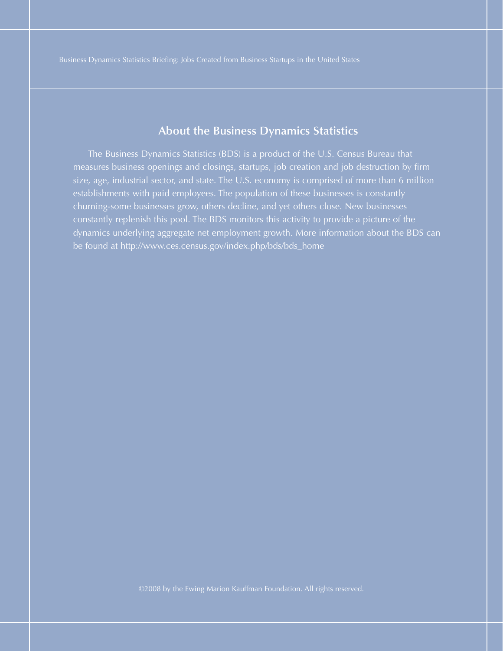#### **About the Business Dynamics Statistics**

The Business Dynamics Statistics (BDS) is a product of the U.S. Census Bureau that measures business openings and closings, startups, job creation and job destruction by firm size, age, industrial sector, and state. The U.S. economy is comprised of more than 6 million establishments with paid employees. The population of these businesses is constantly churning-some businesses grow, others decline, and yet others close. New businesses constantly replenish this pool. The BDS monitors this activity to provide a picture of the dynamics underlying aggregate net employment growth. More information about the BDS can be found at http://www.ces.census.gov/index.php/bds/bds\_home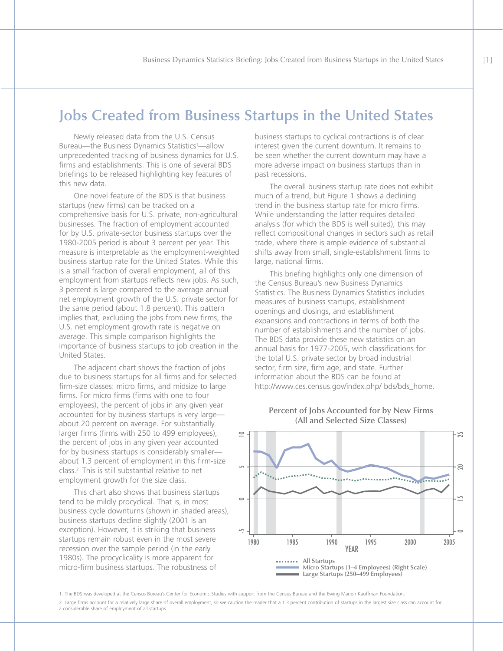## **Jobs Created from Business Startups in the United States**

Newly released data from the U.S. Census Bureau—the Business Dynamics Statistics<sup>1</sup>—allow unprecedented tracking of business dynamics for U.S. firms and establishments. This is one of several BDS briefings to be released highlighting key features of this new data.

One novel feature of the BDS is that business startups (new firms) can be tracked on a comprehensive basis for U.S. private, non-agricultural businesses. The fraction of employment accounted for by U.S. private-sector business startups over the 1980-2005 period is about 3 percent per year. This measure is interpretable as the employment-weighted business startup rate for the United States. While this is a small fraction of overall employment, all of this employment from startups reflects new jobs. As such, 3 percent is large compared to the average annual net employment growth of the U.S. private sector for the same period (about 1.8 percent). This pattern implies that, excluding the jobs from new firms, the U.S. net employment growth rate is negative on average. This simple comparison highlights the importance of business startups to job creation in the United States.

The adjacent chart shows the fraction of jobs due to business startups for all firms and for selected firm-size classes: micro firms, and midsize to large firms. For micro firms (firms with one to four employees), the percent of jobs in any given year accounted for by business startups is very large about 20 percent on average. For substantially larger firms (firms with 250 to 499 employees), the percent of jobs in any given year accounted for by business startups is considerably smaller about 1.3 percent of employment in this firm-size class.2 This is still substantial relative to net employment growth for the size class.

This chart also shows that business startups tend to be mildly procyclical. That is, in most business cycle downturns (shown in shaded areas), business startups decline slightly (2001 is an exception). However, it is striking that business startups remain robust even in the most severe recession over the sample period (in the early 1980s). The procyclicality is more apparent for micro-firm business startups. The robustness of

business startups to cyclical contractions is of clear interest given the current downturn. It remains to be seen whether the current downturn may have a more adverse impact on business startups than in past recessions.

The overall business startup rate does not exhibit much of a trend, but Figure 1 shows a declining trend in the business startup rate for micro firms. While understanding the latter requires detailed analysis (for which the BDS is well suited), this may reflect compositional changes in sectors such as retail trade, where there is ample evidence of substantial shifts away from small, single-establishment firms to large, national firms.

This briefing highlights only one dimension of the Census Bureau's new Business Dynamics Statistics. The Business Dynamics Statistics includes measures of business startups, establishment openings and closings, and establishment expansions and contractions in terms of both the number of establishments and the number of jobs. The BDS data provide these new statistics on an annual basis for 1977-2005, with classifications for the total U.S. private sector by broad industrial sector, firm size, firm age, and state. Further information about the BDS can be found at http://www.ces.census.gov/index.php/ bds/bds\_home.



#### **Percent of Jobs Accounted for by New Firms (All and Selected Size Classes)**

1. The BDS was developed at the Census Bureau's Center for Economic Studies with support from the Census Bureau and the Ewing Marion Kauffman Foundation.

2. Large firms account for a relatively large share of overall employment, so we caution the reader that a 1.3 percent contribution of startups in the largest size class can account for a considerable share of employment of all startups.